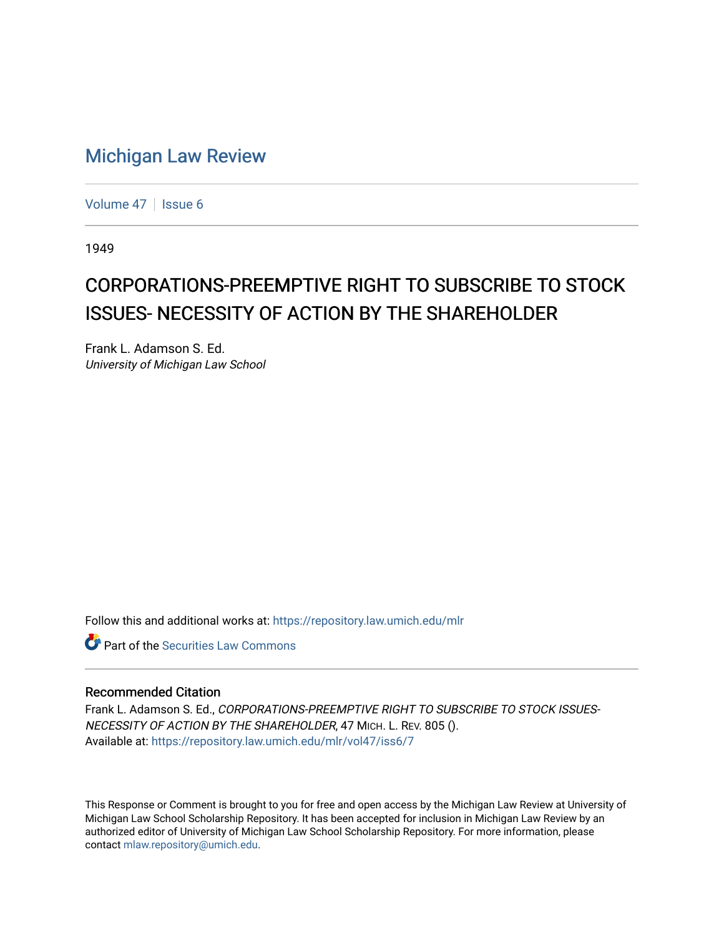## [Michigan Law Review](https://repository.law.umich.edu/mlr)

[Volume 47](https://repository.law.umich.edu/mlr/vol47) | [Issue 6](https://repository.law.umich.edu/mlr/vol47/iss6)

1949

# CORPORATIONS-PREEMPTIVE RIGHT TO SUBSCRIBE TO STOCK ISSUES- NECESSITY OF ACTION BY THE SHAREHOLDER

Frank L. Adamson S. Ed. University of Michigan Law School

Follow this and additional works at: [https://repository.law.umich.edu/mlr](https://repository.law.umich.edu/mlr?utm_source=repository.law.umich.edu%2Fmlr%2Fvol47%2Fiss6%2F7&utm_medium=PDF&utm_campaign=PDFCoverPages) 

**C** Part of the Securities Law Commons

#### Recommended Citation

Frank L. Adamson S. Ed., CORPORATIONS-PREEMPTIVE RIGHT TO SUBSCRIBE TO STOCK ISSUES-NECESSITY OF ACTION BY THE SHAREHOLDER, 47 MICH. L. REV. 805 (). Available at: [https://repository.law.umich.edu/mlr/vol47/iss6/7](https://repository.law.umich.edu/mlr/vol47/iss6/7?utm_source=repository.law.umich.edu%2Fmlr%2Fvol47%2Fiss6%2F7&utm_medium=PDF&utm_campaign=PDFCoverPages)

This Response or Comment is brought to you for free and open access by the Michigan Law Review at University of Michigan Law School Scholarship Repository. It has been accepted for inclusion in Michigan Law Review by an authorized editor of University of Michigan Law School Scholarship Repository. For more information, please contact [mlaw.repository@umich.edu](mailto:mlaw.repository@umich.edu).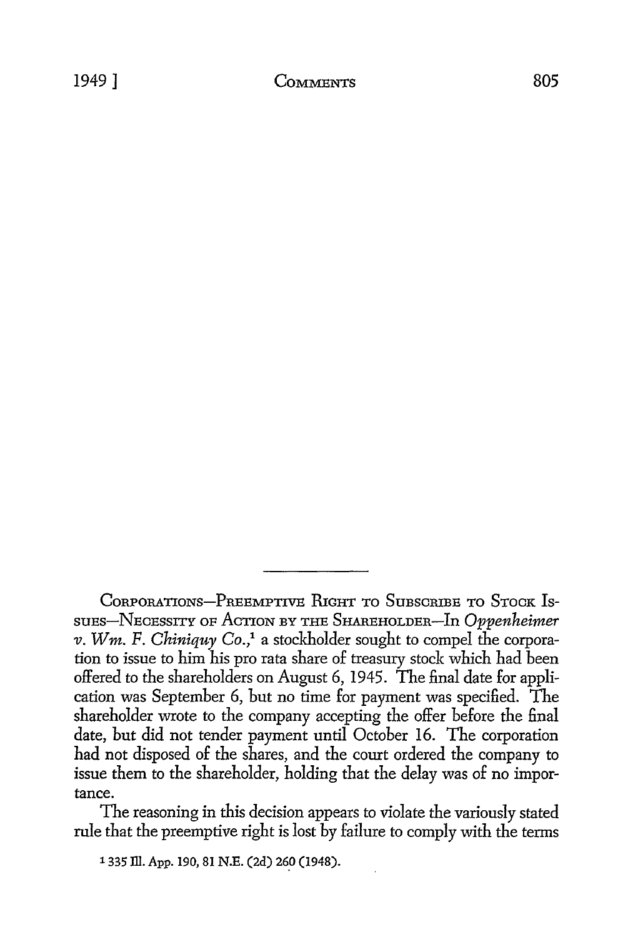The reasoning in this decision appears to violate the variously stated rule that the preemptive right is lost by failure to comply with the terms

**'335 111. App. 190, 81 N.E. (2d) 260** (1948).

CORPORATIONS-PREEMPTIVE **PIGHT** TO **SUBSCRIBE** TO STOCK IS**suFs-N.EcESsITY OF** ACTION **BY THE** SHAREHOLDIER-In *Oppenheimer v. Win. F. Chiniquy Co.,"* a stockholder sought to compel the corporation to issue to him his pro rata share of treasury stock which had been offered to the shareholders on August 6, 1945. The final date for application was September 6, but no time for payment was specified. The shareholder wrote to the company accepting the offer before the final date, but did not tender payment until October 16. The corporation had not disposed of the shares, and the court ordered the company to issue them to the shareholder, holding that the delay was of no importance.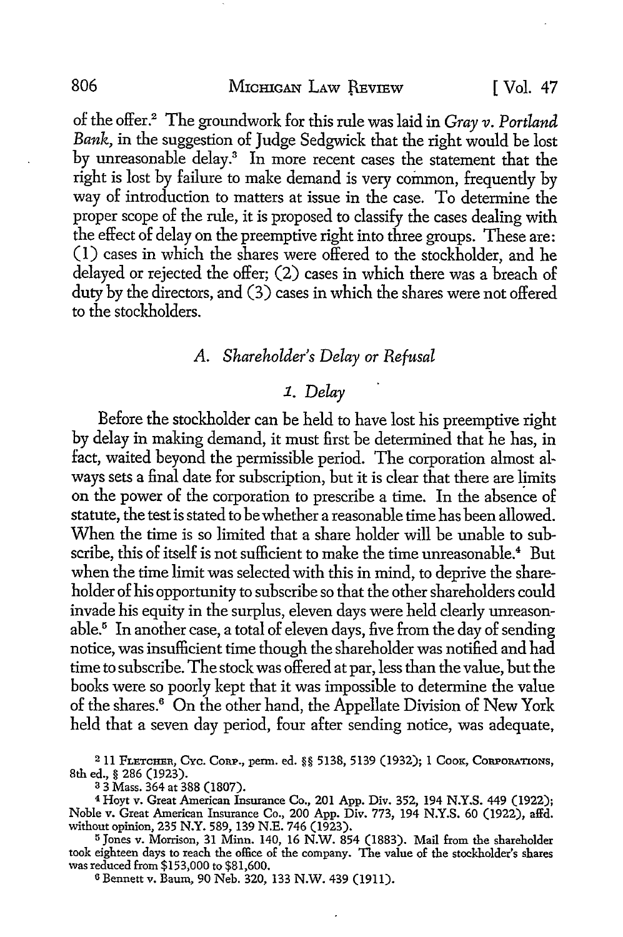of the offer.2 The groundwork for this rule was laid in *Gray v. Portland Bank,* in the suggestion of Judge Sedgwick that the right would be lost by unreasonable delay.3 In more recent cases the statement that the right is lost by failure to make demand is very common, frequently by way of introduction to matters at issue in the case. To determine the proper scope of the rule, it is proposed to classify the cases dealing with the effect of delay on the preemptive right into three groups. These are: (1) cases in which the shares were offered to the stockholder, and he delayed or rejected the offer; (2) cases in which there was a breach of duty by the directors, and (3) cases in which the shares were not offered to the stockholders.

## *A. Shareholder's Delay or Refusal*

## **1.** *Delay*

Before the stockholder can be held to have lost his preemptive right **by** delay in making demand, it must first be determined that he has, in fact, waited beyond the permissible period. The corporation almost always sets a final date for subscription, but it is clear that there are limits on the power of the corporation to prescribe a time. In the absence of statute, the test is stated to be whether a reasonable time has been allowed. When the time is so limited that a share holder will be unable to subscribe, this of itself is not sufficient to make the time unreasonable.<sup>4</sup> But when the time limit was selected with this in mind, to deprive the shareholder of his opportunity to subscribe so that the other shareholders could invade his equity in the surplus, eleven days were held clearly unreasonable.' In another case, a total of eleven days, five from the day of sending notice, was insufficient time though the shareholder was notified and had time to subscribe. The stock was offered at par, less than the value, but the books were so poorly kept that it was impossible to determine the value of the shares.6 On the other hand, the Appellate Division of New York held that a seven day period, four after sending notice, was adequate,

<sup>2</sup> 11 FLETCHER, Cyc. CORP., perm. ed. §§ 5138, 5139 (1932); 1 COOK, CORPORATIONS, 8th ed., § 286 (1923).

**3 3** Mass. 364 at 388 (1807).

4 Hoyt v. Great American Insurance Co., 201 App. Div. 352, 194 N.Y.S. 449 (1922); Noble v. Great American Insurance Co., 200 App. Div. 773, 194 N.Y.S. 60 (1922), affd. without opinion, **235** N.Y. 589, 139 N.E. 746 (1923).

**5** Jones v. Morrison, **31** Minn. 140, 16 N.W. 854 (1883). Mail from the shareholder took eighteen days to reach the office of the company. The value of the stockholder's shares was reduced from \$153,000 to \$81,600.

**6** Bennett v. Baum, 90 Neb. 320, **133** N.W. 439 (1911).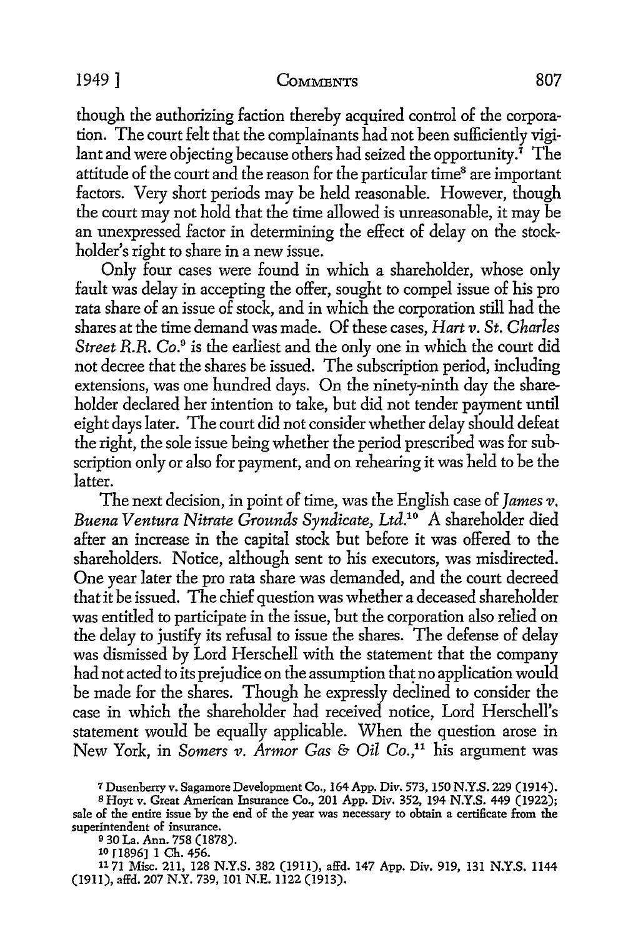#### 1949 ] **COMMENTS 807**

though the authorizing faction thereby acquired control of the corporation. The court felt that the complainants had not been sufficiently vigilant and were objecting because others had seized the opportunity.<sup> $\tau$ </sup> The attitude of the court and the reason for the particular time<sup>8</sup> are important factors. Very short periods may be held reasonable. However, though the court may not hold that the time allowed is unreasonable, it may be an unexpressed factor in determining the effect of delay on the stockholder's right to share in a new issue.

Only four cases were found in which a shareholder, whose only fault was delay in accepting the offer, sought to compel issue of his pro rata share of an issue of stock, and in which the corporation still had the shares at the time demand was made. Of these cases, *Hart v. St. Charles Street R.R. Co.'* is the earliest and the only one in which the court did not decree that the shares be issued. The subscription period, including extensions, was one hundred days. On the ninety-ninth day the shareholder declared her intention to take, but did not tender payment until eight days later. The court did not consider whether delay should defeat the right, the sole issue being whether the period prescribed was for subscription only or also for payment, and on rehearing it was held to be the latter.

The next decision, in point of time, was the English case of *James v. Buena Ventura Nitrate Grounds Syndicate, Ltd.1 "* A shareholder died after an increase in the capital stock but before it was offered to the shareholders. Notice, although sent to his executors, was misdirected. One year later the pro rata share was demanded, and the court decreed that it be issued. The chief question was whether a deceased shareholder was entitled to participate in the issue, but the corporation also relied on the delay to justify its refusal to issue the shares. The defense of delay was dismissed by Lord Herschell with the statement that the company had not acted to its prejudice on the assumption that no application would be made for the shares. Though he expressly declined to consider the case in which the shareholder had received notice, Lord Herschell's statement would be equally applicable. When the question arose in New York, in *Somers v. Armor Gas & Oil Co.,1* his argument was

**<sup>7</sup>** Dusenberry v. Sagamore Development Co., 164 **App.** Div. **573, 150 N.Y.S. 229** (1914).

**<sup>8</sup>** Hoyt v. Great American Insurance Co., 201 **App.** Div. **352,** 194 **N.Y.S.** 449 **(1922);** sale of the entire issue **by** the end of the year was necessary to obtain a certificate from the superintendent of insurance.

**<sup>9 30</sup>** La. Ann. **758 (1878).** lo r1896] 1 Ch. 456.

**<sup>1171</sup>** Misc. **211,** 128 **N.Y.S. 382 (1911),** affd. 147 **App.** Div. **919, 131 N.Y.S.** 1144 **(1911), affd. 207** N.Y. **739, 101 N.E.** 1122 **(1913).**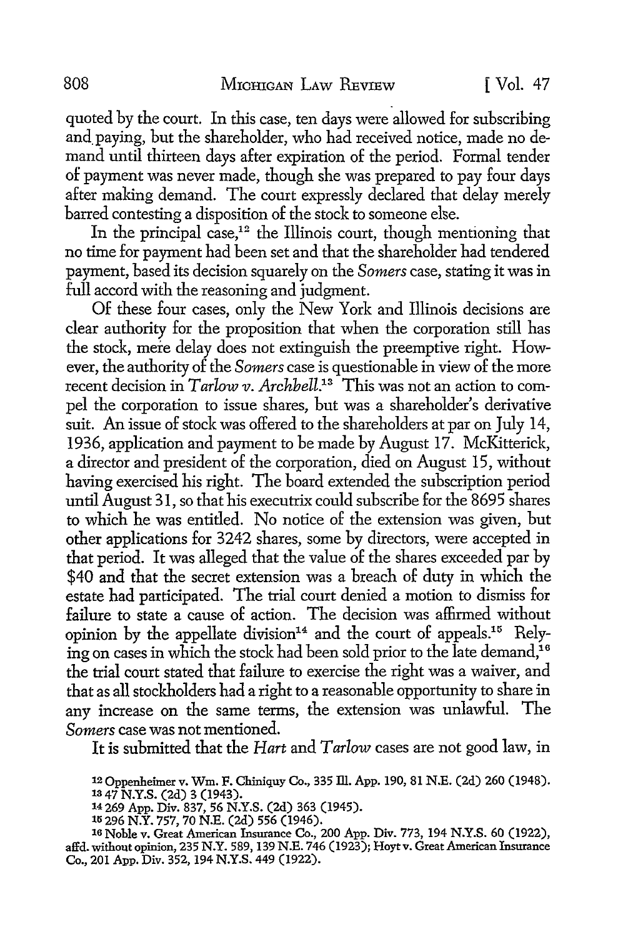quoted by the court. In this case, ten days were allowed for subscribing and paying, but the shareholder, who had received notice, made no demand until thirteen days after expiration of the period. Formal tender of payment was never made, though she was prepared to pay four days after making demand. The court expressly declared that delay merely barred contesting a disposition of the stock to someone else.

In the principal case,<sup>12</sup> the Illinois court, though mentioning that no time for payment had been set and that the shareholder had tendered payment, based its decision squarely on the *Somers* case, stating it was in full accord with the reasoning and judgment.

Of these four cases, only the New York and Illinois decisions are clear authority for the proposition that when the corporation still has the stock, mere delay does not extinguish the preemptive right. However, the authority of the *Somers* case is questionable in view of the more recent decision in *Tarlow v. Archbell.'3* This was not an action to compel the corporation to issue shares, but was a shareholder's derivative suit. An issue of stock was offered to the shareholders at par on July 14, 1936, application and payment to be made by August 17. McKitterick, a director and president of the corporation, died on August 15, without having exercised his right. The board extended the subscription period until August 31, so that his executrix could subscribe for the 8695 shares to which he was entitled. No notice of the extension was given, but other applications for 3242 shares, some by directors, were accepted in that period. It was alleged that the value of the shares exceeded par by \$40 and that the secret extension was a breach of duty in which the estate had participated. The trial court denied a motion to dismiss for failure to state a cause of action. The decision was affirmed without opinion by the appellate division<sup>14</sup> and the court of appeals.<sup>15</sup> Relying on cases in which the stock had been sold prior to the late demand,<sup>16</sup> the trial court stated that failure to exercise the right was a waiver, and that as all stockholders had a right to a reasonable opportunity to share in any increase on the same terms, the extension was unlawful. The *Somers* case was not mentioned.

It is submitted that the *Hart and Tarlow* cases are not good law, in

14 **269 App.** Div. **837, 56 N.Y.S. (2d) 363** (1945).

**'r 296** N.Y. **757, 70 N.E.** (2d) **556** (1946).

**16** Noble v. Great American Insurance Co., 200 **App.** Div. **773,** 194 **N.Y.S. 60 (1922),** affd. without opinion, **235** N.Y. **589, 139 N.E.** 746 **(1923);** Hoyt v. Great American Insurance Co., 201 **App.** Div. 352, 194 **N.Y.S.** 449 **(1922).**

<sup>1 .</sup>Oppenheimer v. Win. **F.** Chiniquy Co., **335 Ill. App. 190, 81 N.E. (2d) 260** (1948). **13** 47 **N.Y.S. (2d) 3** (1943).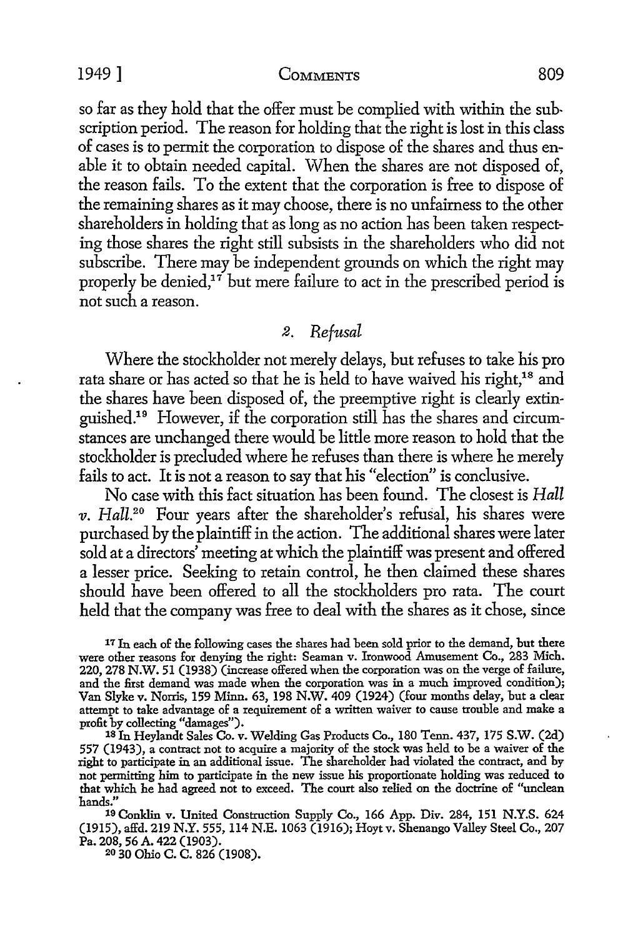1949] **COMMENTS 809**

so far as they hold that the offer must be complied with within the subscription period. The reason for holding that the right is lost in this class of cases is to permit the corporation to dispose of the shares and thus enable it to obtain needed capital. When the shares are not disposed of, the reason fails. To the extent that the corporation is free to dispose of the remaining shares as it may choose, there is no unfairness to the other shareholders in holding that as long as no action has been taken respecting those shares the right still subsists in the shareholders who did not subscribe. There may be independent grounds on which the right may properly be denied, $17$  but mere failure to act in the prescribed period is not such a reason.

## *2. Refusal*

Where the stockholder not merely delays, but refuses to take his pro rata share or has acted so that he is held to have waived his right,<sup>18</sup> and the shares have been disposed of, the preemptive right is clearly extinguished." However, if the corporation still has the shares and circumstances are unchanged there would be little more reason to hold that the stockholder is precluded where he refuses than there is where he merely fails to act. It is not a reason to say that his "election" is conclusive.

No case with this fact situation has been found. The closest is *Hall v. Hall.<sup>20</sup>* Four years after the shareholder's refusal, his shares were purchased by the plaintiff in the action. The additional shares were later sold at a directors' meeting at which the plaintiff was present and offered a lesser price. Seeking to retain control, he then claimed these shares should have been offered to all the stockholders pro rata. The court held that the company was free to deal with the shares as it chose, since

**<sup>17</sup>**In each of the following cases the shares had been sold prior to the demand, but there were other reasons for denying the right: Seaman v. Ironwood Amusement Co., **283** Mich. 220, **278** N.W. 51 (1938) (increase offered when the corporation was on the verge of failure, and the first demand was made when the corporation was in a much improved condition); Van Slyke v. Norris, 159 Minn. 63, 198 N.W. 409 (1924) (four months delay, but a clear attempt to take advantage of a requirement of a written waiver to cause trouble and make a profit by collecting "damages"). **18 In** Heylandt Sales Co. v. Welding Gas Products Co., 180 Tenn. 437, 175 S.W. (2d)

557 (1943), a contract not to acquire a majority of the stock was held to he a waiver of the right to participate in an additional issue. The shareholder had violated the contract, and by not permitting him to participate in the new issue his proportionate holding was reduced to that which he had agreed not to exceed. The court also relied on the doctrine of "unclean hands."

**19** Conklin v. United Construction Supply Co., 166 App. Div. 284, 151 N.Y.S. 624 (1915), affd. 219 N.Y. **555,** 114 N.E. 1063 (1916); Hoyt v. Shenango Valley Steel Co., 207 Pa. 208, 56 A. 422 (1903).

**20 30** Ohio C. C. 826 (1908).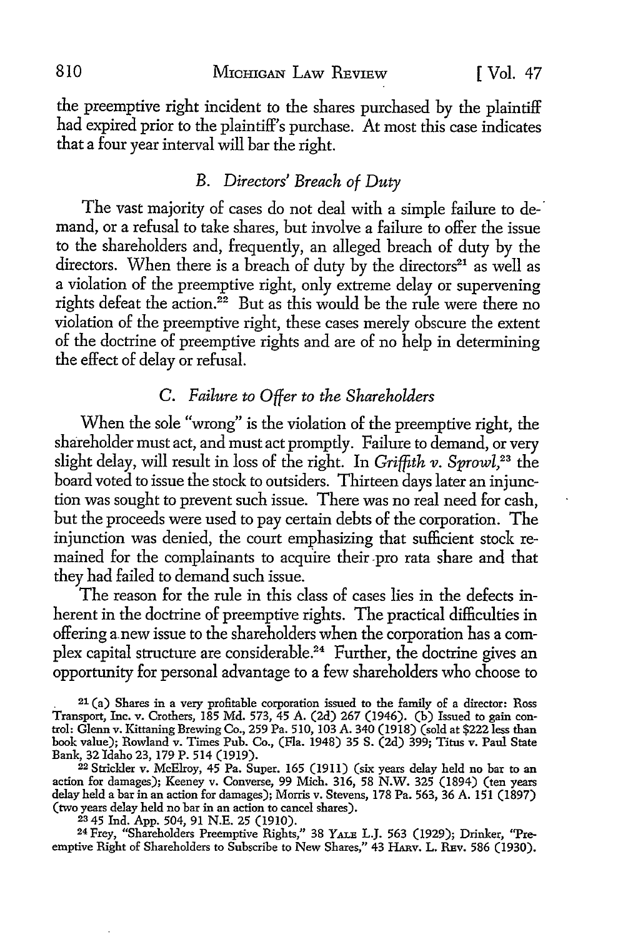the preemptive right incident to the shares purchased by the plaintiff had expired prior to the plaintiff's purchase. At most this case indicates that a four year interval will bar the right.

## *B. Directors' Breach of Duty*

The vast majority of cases do not deal with a simple failure to demand, or a refusal to take shares, but involve a failure to offer the issue to the shareholders and, frequently, an alleged breach of duty by the directors. When there is a breach of duty by the directors $21$  as well as a violation of the preemptive right, only extreme delay or supervening rights defeat the action.<sup>22</sup> But as this would be the rule were there no violation of the preemptive right, these cases merely obscure the extent of the doctrine of preemptive rights and are of no help in determining the effect of delay or refusal.

## *C. Failure to Offer to the Shareholders*

When the sole "wrong" is the violation of the preemptive right, the shareholder must act, and must act promptly. Failure to demand, or very slight delay, will result in loss of the right. In *Griffith v. Sprowl*,<sup>23</sup> the board voted to issue the stock to outsiders. Thirteen days later an injunction was sought to prevent such issue. There was no real need for cash, but the proceeds were used to pay certain debts of the corporation. The injunction was denied, the court emphasizing that sufficient stock remained for the complainants to acquire their pro rata share and that they had failed to demand such issue.

The reason for the rule in this class of cases lies in the defects inherent in the doctrine of preemptive rights. The practical difficulties in offering anew issue to the shareholders when the corporation has a complex capital structure are considerable.<sup>24</sup> Further, the doctrine gives an opportunity for personal advantage to a few shareholders who choose to

**<sup>21</sup>**(a) Shares in a very profitable corporation issued to the family of a director: Ross Transport, Inc. v. Crothers, 185 Md. 573, 45 A. (2d) 267 (1946). (b) Issued to gain con- trol: Glenn v. Kittaning Brewing Co., 259 Pa. 510, 103 A. 340 (1918) (sold at \$222 less than book value); Rowland v. Times Pub. Co., (Fla. 1948) 35 S. (2d) 399; Titus v. Paul State Bank, 32 Idaho 23, 179 P. 514 (1919).<br><sup>22</sup> Strickler v. McElroy, 45 Pa. Super. 165 (1911) (six years delay held no bar to an

action for damages); Keeney v. Converse, 99 Mich. 316, 58 N.W. **325** (1894) (ten years delay held a bar in an action for damages); Morris v. Stevens, 178 Pa. 563, 36 A. 151 (1897) (two years delay held no bar in an action to cancel shares).

**<sup>23</sup>**45 Ind. **App.** 504, 91 N.E. 25 (1910). 24 Frey, "Shareholders Preemptive Rights," 38 **YALa** L.J. 563 (1929); Drinker, "Preemptive Right of Shareholders to Subscribe to New Shares," 43 HARV. L. REV. 586 (1930).